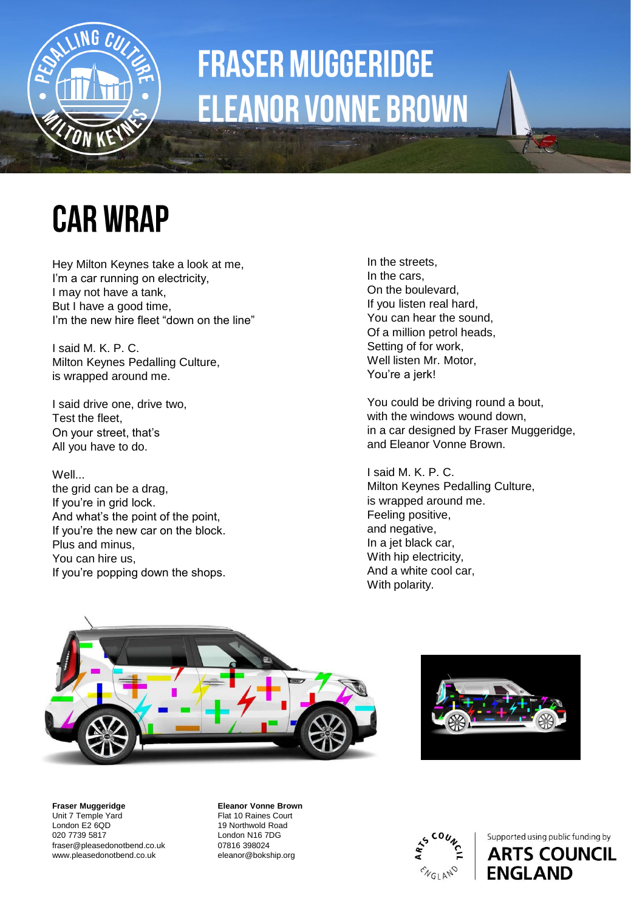

# **FRASER MUGGERIDGE ELEANOR VONNE BROWN**

#### **CAR WRAP**

Hey Milton Keynes take a look at me, I'm a car running on electricity, I may not have a tank, But I have a good time, I'm the new hire fleet "down on the line"

I said M. K. P. C. Milton Keynes Pedalling Culture, is wrapped around me.

I said drive one, drive two, Test the fleet, On your street, that's All you have to do.

Well...

the grid can be a drag, If you're in grid lock. And what's the point of the point, If you're the new car on the block. Plus and minus, You can hire us, If you're popping down the shops.

In the streets, In the cars, On the boulevard, If you listen real hard, You can hear the sound, Of a million petrol heads, Setting of for work, Well listen Mr. Motor, You're a jerk!

You could be driving round a bout, with the windows wound down, in a car designed by Fraser Muggeridge, and Eleanor Vonne Brown.

I said M. K. P. C. Milton Keynes Pedalling Culture, is wrapped around me. Feeling positive, and negative, In a jet black car, With hip electricity, And a white cool car, With polarity.





**Fraser Muggeridge**  Unit 7 Temple Yard London E2 6QD 020 7739 5817 fraser@pleasedonotbend.co.uk www.pleasedonotbend.co.uk

**Eleanor Vonne Brown**

Flat 10 Raines Court 19 Northwold Road London N16 7DG 07816 398024 eleanor@bokship.org



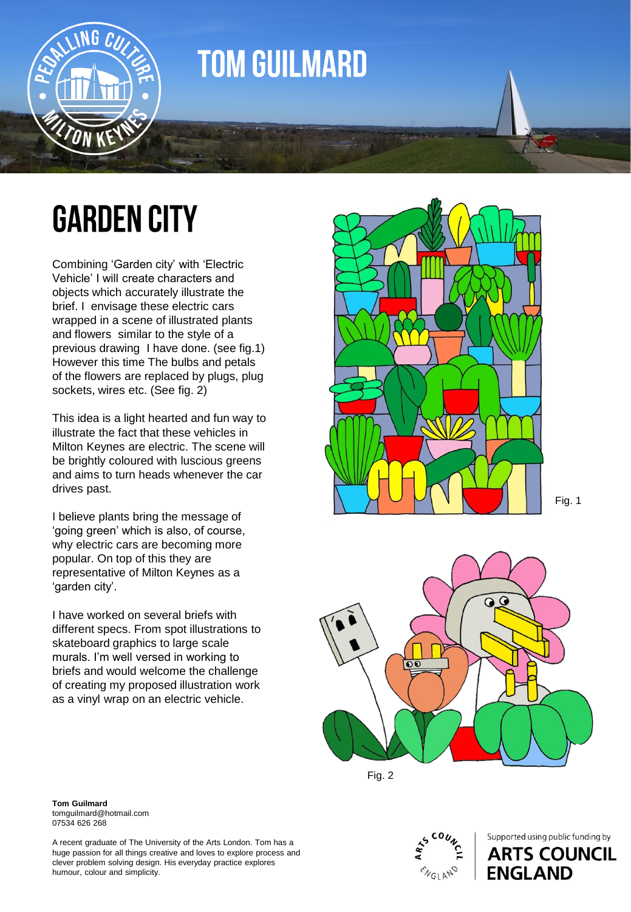

#### **TOM GUILMARD**

## **GARDEN CITY**

Combining 'Garden city' with 'Electric Vehicle' I will create characters and objects which accurately illustrate the brief. I envisage these electric cars wrapped in a scene of illustrated plants and flowers similar to the style of a previous drawing I have done. (see fig.1) However this time The bulbs and petals of the flowers are replaced by plugs, plug sockets, wires etc. (See fig. 2)

This idea is a light hearted and fun way to illustrate the fact that these vehicles in Milton Keynes are electric. The scene will be brightly coloured with luscious greens and aims to turn heads whenever the car drives past.

I believe plants bring the message of 'going green' which is also, of course, why electric cars are becoming more popular. On top of this they are representative of Milton Keynes as a 'garden city'.

I have worked on several briefs with different specs. From spot illustrations to skateboard graphics to large scale murals. I'm well versed in working to briefs and would welcome the challenge of creating my proposed illustration work as a vinyl wrap on an electric vehicle.





Fig. 2



Supported using public funding by **ARTS COUNCIL ENGLAND** 

#### **Tom Guilmard** tomguilmard@hotmail.com 07534 626 268

A recent graduate of The University of the Arts London. Tom has a huge passion for all things creative and loves to explore process and clever problem solving design. His everyday practice explores humour, colour and simplicity .